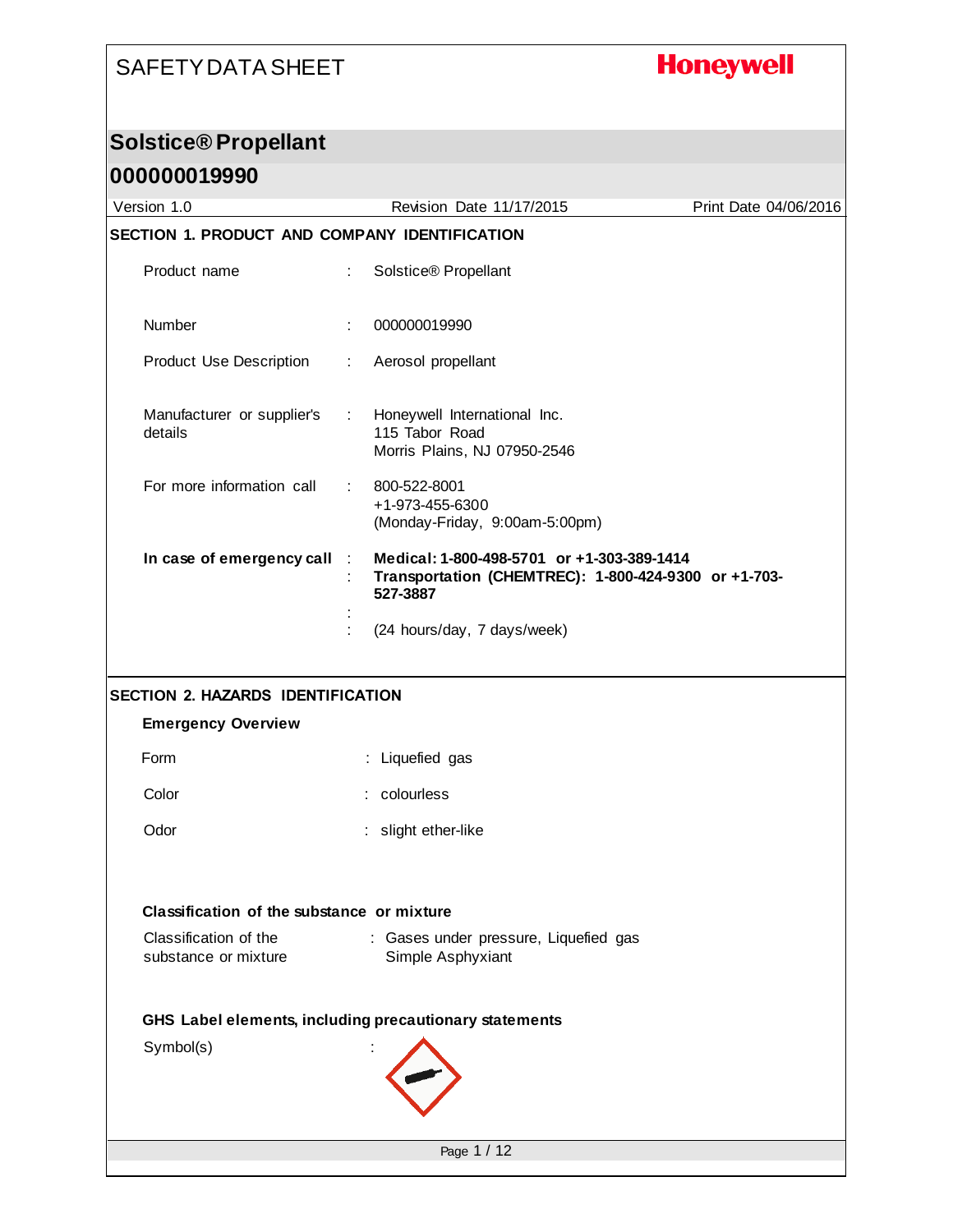# **Honeywell**

#### **Solstice® Propellant**

| 000000019990                                  |                                                                                                                             |                       |
|-----------------------------------------------|-----------------------------------------------------------------------------------------------------------------------------|-----------------------|
| Version 1.0                                   | Revision Date 11/17/2015                                                                                                    | Print Date 04/06/2016 |
| SECTION 1. PRODUCT AND COMPANY IDENTIFICATION |                                                                                                                             |                       |
| Product name                                  | Solstice® Propellant<br>÷.                                                                                                  |                       |
| Number                                        | 000000019990                                                                                                                |                       |
| <b>Product Use Description</b>                | Aerosol propellant<br>÷.                                                                                                    |                       |
| Manufacturer or supplier's<br>details         | Honeywell International Inc.<br>$\mathcal{L}_{\mathrm{max}}$<br>115 Tabor Road<br>Morris Plains, NJ 07950-2546              |                       |
| For more information call                     | 800-522-8001<br>$\mathbb{R}^n$<br>+1-973-455-6300<br>(Monday-Friday, 9:00am-5:00pm)                                         |                       |
| In case of emergency call                     | Medical: 1-800-498-5701 or +1-303-389-1414<br>$\sim 10$<br>Transportation (CHEMTREC): 1-800-424-9300 or +1-703-<br>527-3887 |                       |
|                                               | (24 hours/day, 7 days/week)                                                                                                 |                       |
| <b>SECTION 2. HAZARDS IDENTIFICATION</b>      |                                                                                                                             |                       |
| <b>Emergency Overview</b>                     |                                                                                                                             |                       |
| Form                                          | : Liquefied gas                                                                                                             |                       |
| Color                                         | : colourless                                                                                                                |                       |
| Odor                                          | slight ether-like                                                                                                           |                       |
| Classification of the substance or mixture    |                                                                                                                             |                       |
| Classification of the<br>substance or mixture | : Gases under pressure, Liquefied gas<br>Simple Asphyxiant                                                                  |                       |
|                                               | GHS Label elements, including precautionary statements                                                                      |                       |
| Symbol(s)                                     |                                                                                                                             |                       |
|                                               | Page 1 / 12                                                                                                                 |                       |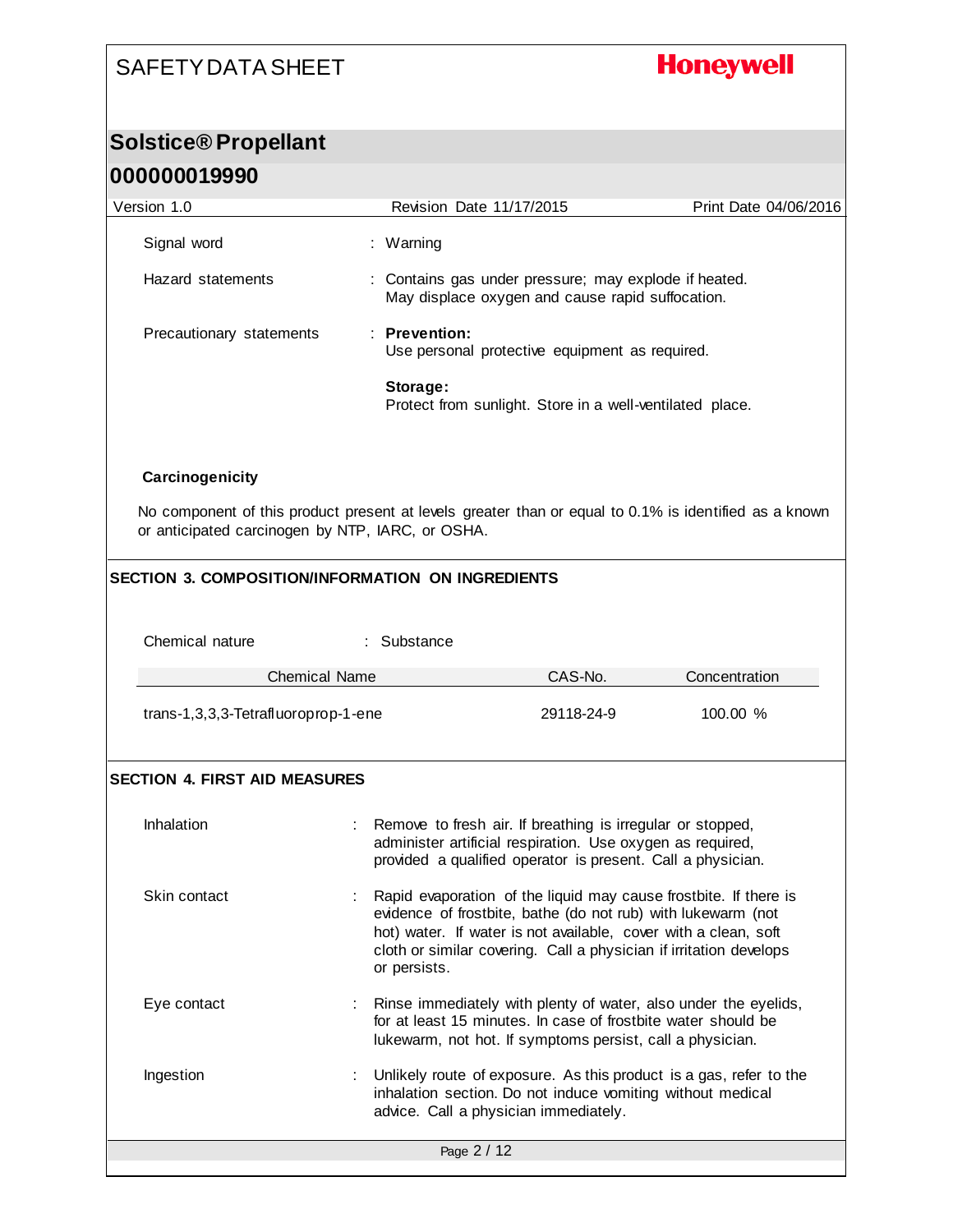# **Honeywell**

# **Solstice® Propellant**

| 000000019990                                     |                                                                                                           |                       |
|--------------------------------------------------|-----------------------------------------------------------------------------------------------------------|-----------------------|
| Version 1.0                                      | <b>Revision Date 11/17/2015</b>                                                                           | Print Date 04/06/2016 |
| Signal word                                      | : Warning                                                                                                 |                       |
| Hazard statements                                | : Contains gas under pressure; may explode if heated.<br>May displace oxygen and cause rapid suffocation. |                       |
| Precautionary statements                         | $\therefore$ Prevention:<br>Use personal protective equipment as required.                                |                       |
|                                                  | Storage:<br>Protect from sunlight. Store in a well-ventilated place.                                      |                       |
| Carcinogenicity                                  |                                                                                                           |                       |
| or anticipated carcinogen by NTP, IARC, or OSHA. | No component of this product present at levels greater than or equal to 0.1% is identified as a known     |                       |

#### **SECTION 3. COMPOSITION/INFORMATION ON INGREDIENTS**

| Chemical nature                      | : Substance                                                                                                                                                                                                                                                                               |            |               |
|--------------------------------------|-------------------------------------------------------------------------------------------------------------------------------------------------------------------------------------------------------------------------------------------------------------------------------------------|------------|---------------|
| <b>Chemical Name</b>                 |                                                                                                                                                                                                                                                                                           | CAS-No.    | Concentration |
| trans-1,3,3,3-Tetrafluoroprop-1-ene  |                                                                                                                                                                                                                                                                                           | 29118-24-9 | 100.00 %      |
| <b>SECTION 4. FIRST AID MEASURES</b> |                                                                                                                                                                                                                                                                                           |            |               |
| Inhalation                           | Remove to fresh air. If breathing is irregular or stopped,<br>administer artificial respiration. Use oxygen as required,<br>provided a qualified operator is present. Call a physician.                                                                                                   |            |               |
| Skin contact                         | Rapid evaporation of the liquid may cause frostbite. If there is<br>evidence of frostbite, bathe (do not rub) with lukewarm (not<br>hot) water. If water is not available, cover with a clean, soft<br>cloth or similar covering. Call a physician if irritation develops<br>or persists. |            |               |
| Eye contact<br>÷.                    | Rinse immediately with plenty of water, also under the eyelids,<br>for at least 15 minutes. In case of frostbite water should be<br>lukewarm, not hot. If symptoms persist, call a physician.                                                                                             |            |               |
| Ingestion                            | Unlikely route of exposure. As this product is a gas, refer to the<br>inhalation section. Do not induce vomiting without medical<br>advice. Call a physician immediately.                                                                                                                 |            |               |
|                                      | Page 2 / 12                                                                                                                                                                                                                                                                               |            |               |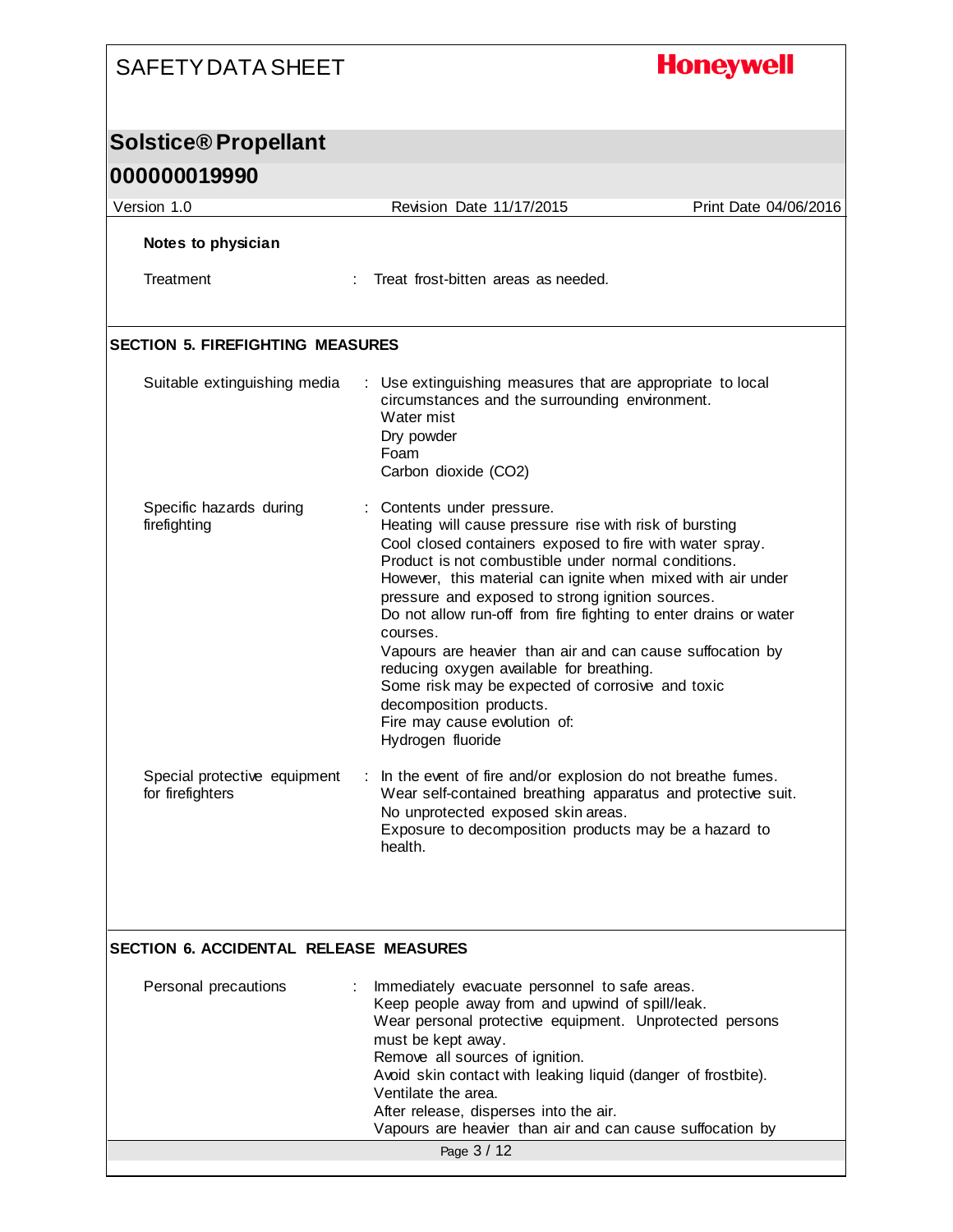# **Honeywell**

## **Solstice® Propellant**

| 000000019990                                     |                                                                                                                                                                                                                                                                                                                                                                                                                                                                                                                                                                                                                                                         |                       |
|--------------------------------------------------|---------------------------------------------------------------------------------------------------------------------------------------------------------------------------------------------------------------------------------------------------------------------------------------------------------------------------------------------------------------------------------------------------------------------------------------------------------------------------------------------------------------------------------------------------------------------------------------------------------------------------------------------------------|-----------------------|
| Version 1.0                                      | Revision Date 11/17/2015                                                                                                                                                                                                                                                                                                                                                                                                                                                                                                                                                                                                                                | Print Date 04/06/2016 |
| Notes to physician                               |                                                                                                                                                                                                                                                                                                                                                                                                                                                                                                                                                                                                                                                         |                       |
| Treatment                                        | Treat frost-bitten areas as needed.                                                                                                                                                                                                                                                                                                                                                                                                                                                                                                                                                                                                                     |                       |
| <b>SECTION 5. FIREFIGHTING MEASURES</b>          |                                                                                                                                                                                                                                                                                                                                                                                                                                                                                                                                                                                                                                                         |                       |
| Suitable extinguishing media                     | : Use extinguishing measures that are appropriate to local<br>circumstances and the surrounding environment.<br>Water mist<br>Dry powder<br>Foam<br>Carbon dioxide (CO2)                                                                                                                                                                                                                                                                                                                                                                                                                                                                                |                       |
| Specific hazards during<br>firefighting          | : Contents under pressure.<br>Heating will cause pressure rise with risk of bursting<br>Cool closed containers exposed to fire with water spray.<br>Product is not combustible under normal conditions.<br>However, this material can ignite when mixed with air under<br>pressure and exposed to strong ignition sources.<br>Do not allow run-off from fire fighting to enter drains or water<br>courses.<br>Vapours are heavier than air and can cause suffocation by<br>reducing oxygen available for breathing.<br>Some risk may be expected of corrosive and toxic<br>decomposition products.<br>Fire may cause evolution of:<br>Hydrogen fluoride |                       |
| Special protective equipment<br>for firefighters | In the event of fire and/or explosion do not breathe fumes.<br>÷<br>Wear self-contained breathing apparatus and protective suit.<br>No unprotected exposed skin areas.<br>Exposure to decomposition products may be a hazard to<br>health.                                                                                                                                                                                                                                                                                                                                                                                                              |                       |

#### **SECTION 6. ACCIDENTAL RELEASE MEASURES**

| Personal precautions | Immediately evacuate personnel to safe areas.<br>Keep people away from and upwind of spill/leak.<br>Wear personal protective equipment. Unprotected persons<br>must be kept away.<br>Remove all sources of ignition.<br>Avoid skin contact with leaking liquid (danger of frostbite).<br>Ventilate the area.<br>After release, disperses into the air.<br>Vapours are heavier than air and can cause suffocation by |  |
|----------------------|---------------------------------------------------------------------------------------------------------------------------------------------------------------------------------------------------------------------------------------------------------------------------------------------------------------------------------------------------------------------------------------------------------------------|--|
|                      | Page 3 / 12                                                                                                                                                                                                                                                                                                                                                                                                         |  |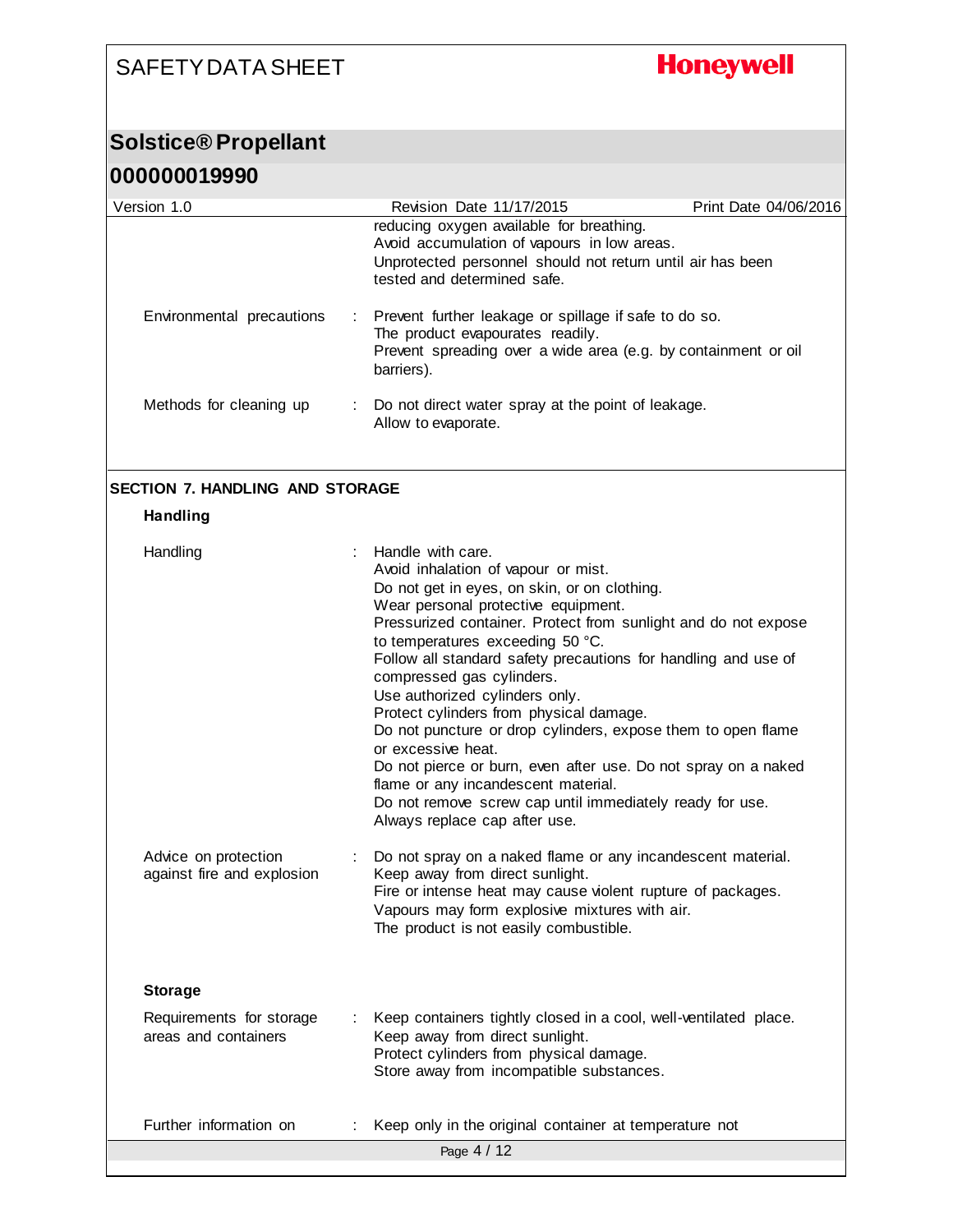# **Honeywell**

#### **Solstice® Propellant**

| 000000019990                                       |                                                                                                                                                                                                                                                                                                                                                                                                                                                                                                                                                                                                                                                                                                                               |
|----------------------------------------------------|-------------------------------------------------------------------------------------------------------------------------------------------------------------------------------------------------------------------------------------------------------------------------------------------------------------------------------------------------------------------------------------------------------------------------------------------------------------------------------------------------------------------------------------------------------------------------------------------------------------------------------------------------------------------------------------------------------------------------------|
| Version 1.0                                        | Revision Date 11/17/2015<br>Print Date 04/06/2016                                                                                                                                                                                                                                                                                                                                                                                                                                                                                                                                                                                                                                                                             |
|                                                    | reducing oxygen available for breathing.<br>Avoid accumulation of vapours in low areas.<br>Unprotected personnel should not return until air has been<br>tested and determined safe.                                                                                                                                                                                                                                                                                                                                                                                                                                                                                                                                          |
| Environmental precautions                          | Prevent further leakage or spillage if safe to do so.<br>The product evapourates readily.<br>Prevent spreading over a wide area (e.g. by containment or oil<br>barriers).                                                                                                                                                                                                                                                                                                                                                                                                                                                                                                                                                     |
| Methods for cleaning up                            | Do not direct water spray at the point of leakage.<br>÷<br>Allow to evaporate.                                                                                                                                                                                                                                                                                                                                                                                                                                                                                                                                                                                                                                                |
| <b>SECTION 7. HANDLING AND STORAGE</b>             |                                                                                                                                                                                                                                                                                                                                                                                                                                                                                                                                                                                                                                                                                                                               |
| <b>Handling</b>                                    |                                                                                                                                                                                                                                                                                                                                                                                                                                                                                                                                                                                                                                                                                                                               |
| Handling                                           | Handle with care.<br>Avoid inhalation of vapour or mist.<br>Do not get in eyes, on skin, or on clothing.<br>Wear personal protective equipment.<br>Pressurized container. Protect from sunlight and do not expose<br>to temperatures exceeding 50 °C.<br>Follow all standard safety precautions for handling and use of<br>compressed gas cylinders.<br>Use authorized cylinders only.<br>Protect cylinders from physical damage.<br>Do not puncture or drop cylinders, expose them to open flame<br>or excessive heat.<br>Do not pierce or burn, even after use. Do not spray on a naked<br>flame or any incandescent material.<br>Do not remove screw cap until immediately ready for use.<br>Always replace cap after use. |
| Advice on protection<br>against fire and explosion | Do not spray on a naked flame or any incandescent material.<br>Keep away from direct sunlight.<br>Fire or intense heat may cause violent rupture of packages.<br>Vapours may form explosive mixtures with air.<br>The product is not easily combustible.                                                                                                                                                                                                                                                                                                                                                                                                                                                                      |
| <b>Storage</b>                                     |                                                                                                                                                                                                                                                                                                                                                                                                                                                                                                                                                                                                                                                                                                                               |
| Requirements for storage<br>areas and containers   | Keep containers tightly closed in a cool, well-ventilated place.<br>Keep away from direct sunlight.<br>Protect cylinders from physical damage.<br>Store away from incompatible substances.                                                                                                                                                                                                                                                                                                                                                                                                                                                                                                                                    |
| Further information on                             | Keep only in the original container at temperature not<br>Page 4 / 12                                                                                                                                                                                                                                                                                                                                                                                                                                                                                                                                                                                                                                                         |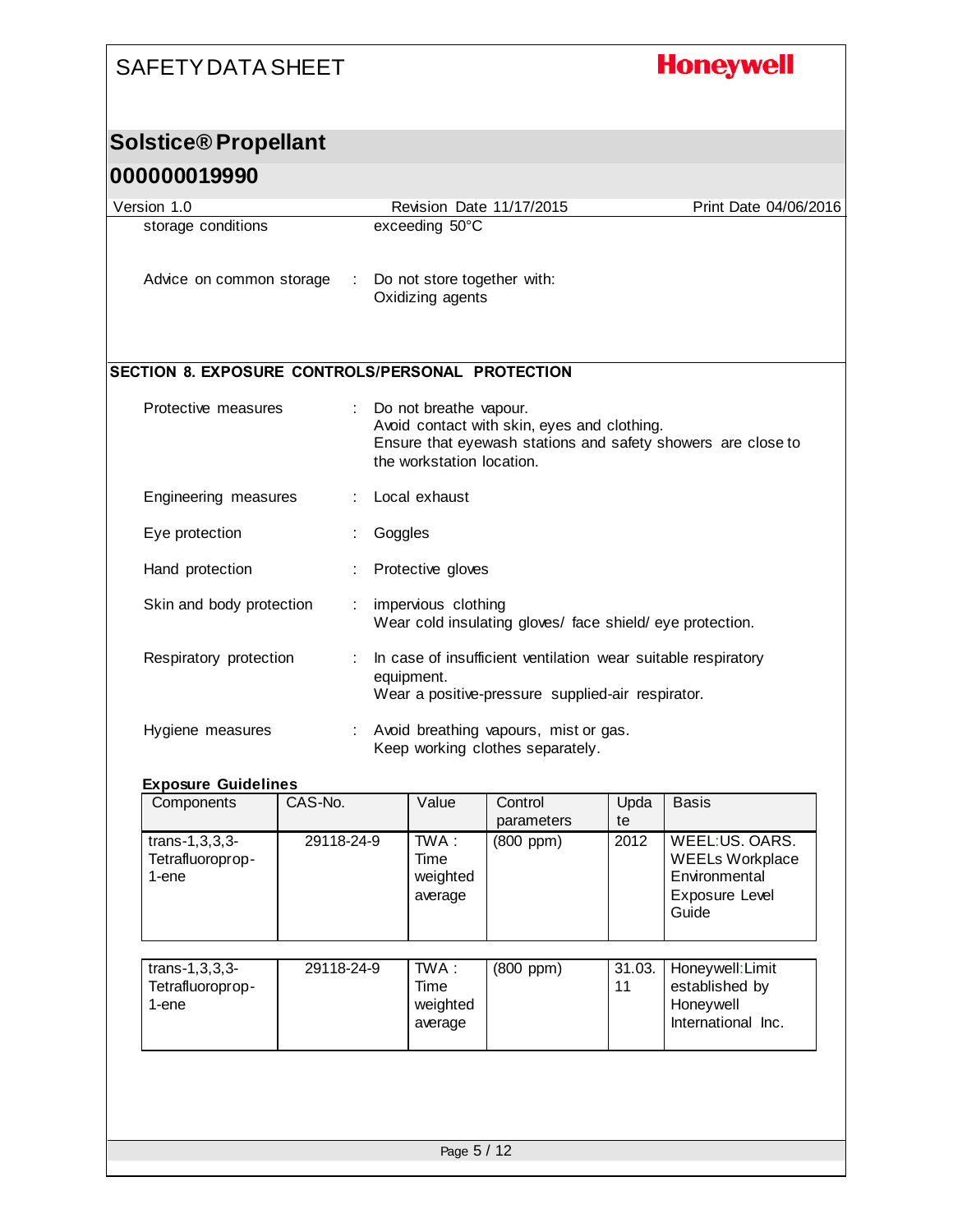# **Honeywell**

#### **Solstice® Propellant**

#### **000000019990**

| Version 1.0                                      | Revision Date 11/17/2015                                                                                                                                           | Print Date 04/06/2016 |
|--------------------------------------------------|--------------------------------------------------------------------------------------------------------------------------------------------------------------------|-----------------------|
| storage conditions                               | exceeding 50°C                                                                                                                                                     |                       |
| Advice on common storage                         | Do not store together with:<br>Oxidizing agents                                                                                                                    |                       |
| SECTION 8. EXPOSURE CONTROLS/PERSONAL PROTECTION |                                                                                                                                                                    |                       |
| Protective measures                              | Do not breathe vapour.<br>Avoid contact with skin, eyes and clothing.<br>Ensure that eyewash stations and safety showers are close to<br>the workstation location. |                       |
| Engineering measures                             | Local exhaust                                                                                                                                                      |                       |
| Eye protection                                   | Goggles                                                                                                                                                            |                       |
| Hand protection                                  | Protective gloves                                                                                                                                                  |                       |
| Skin and body protection                         | impervious clothing<br>Wear cold insulating gloves/ face shield/eye protection.                                                                                    |                       |
| Respiratory protection                           | In case of insufficient ventilation wear suitable respiratory<br>equipment.<br>Wear a positive-pressure supplied-air respirator.                                   |                       |
| Hygiene measures                                 | Avoid breathing vapours, mist or gas.<br>Keep working clothes separately.                                                                                          |                       |

#### **Exposure Guidelines**

| Components                                       | CAS-No.    | Value                                  | Control<br>parameters | Upda<br>te   | <b>Basis</b>                                                                         |
|--------------------------------------------------|------------|----------------------------------------|-----------------------|--------------|--------------------------------------------------------------------------------------|
| $trans-1, 3, 3, 3-$<br>Tetrafluoroprop-<br>1-ene | 29118-24-9 | $TWA$ :<br>Time<br>weighted<br>average | $(800$ ppm $)$        | 2012         | WEEL:US. OARS.<br><b>WEELs Workplace</b><br>Environmental<br>Exposure Level<br>Guide |
| $trans-1, 3, 3, 3-$<br>Tetrafluoroprop-<br>1-ene | 29118-24-9 | TWA :<br>Time<br>weighted<br>average   | $(800$ ppm $)$        | 31.03.<br>11 | Honeywell: Limit<br>established by<br>Honeywell<br>International Inc.                |
|                                                  |            |                                        |                       |              |                                                                                      |
| Page 5 / 12                                      |            |                                        |                       |              |                                                                                      |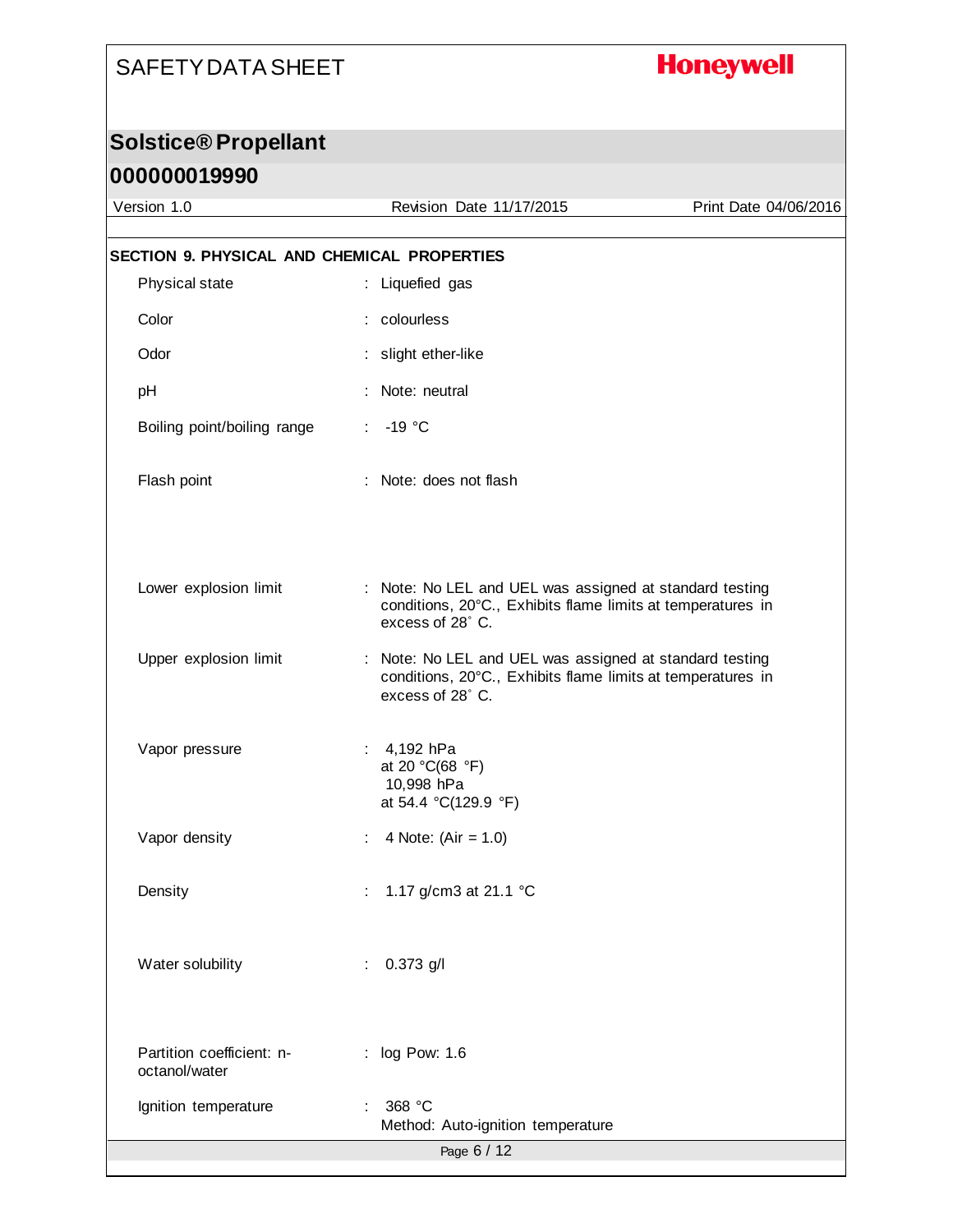# **Honeywell**

## **Solstice® Propellant**

| Version 1.0                                 | Revision Date 11/17/2015                                                                                                                   | Print Date 04/06/2016 |
|---------------------------------------------|--------------------------------------------------------------------------------------------------------------------------------------------|-----------------------|
| SECTION 9. PHYSICAL AND CHEMICAL PROPERTIES |                                                                                                                                            |                       |
| Physical state                              | : Liquefied gas                                                                                                                            |                       |
| Color                                       | : colourless                                                                                                                               |                       |
| Odor                                        | : slight ether-like                                                                                                                        |                       |
|                                             |                                                                                                                                            |                       |
| pH                                          | Note: neutral                                                                                                                              |                       |
| Boiling point/boiling range                 | $-19 °C$                                                                                                                                   |                       |
| Flash point                                 | : Note: does not flash                                                                                                                     |                       |
|                                             |                                                                                                                                            |                       |
| Lower explosion limit                       | : Note: No LEL and UEL was assigned at standard testing<br>conditions, 20°C., Exhibits flame limits at temperatures in<br>excess of 28° C. |                       |
| Upper explosion limit                       | : Note: No LEL and UEL was assigned at standard testing<br>conditions, 20°C., Exhibits flame limits at temperatures in<br>excess of 28° C. |                       |
| Vapor pressure                              | 4,192 hPa<br>at 20 °C(68 °F)<br>10,998 hPa<br>at 54.4 °C(129.9 °F)                                                                         |                       |
| Vapor density                               | 4 Note: $(Air = 1.0)$                                                                                                                      |                       |
| Density                                     | : 1.17 g/cm3 at 21.1 °C                                                                                                                    |                       |
| Water solubility                            | $0.373$ g/l                                                                                                                                |                       |
| Partition coefficient: n-<br>octanol/water  | : log Pow: 1.6                                                                                                                             |                       |
| Ignition temperature                        | : 368 °C<br>Method: Auto-ignition temperature                                                                                              |                       |
|                                             | Page 6 / 12                                                                                                                                |                       |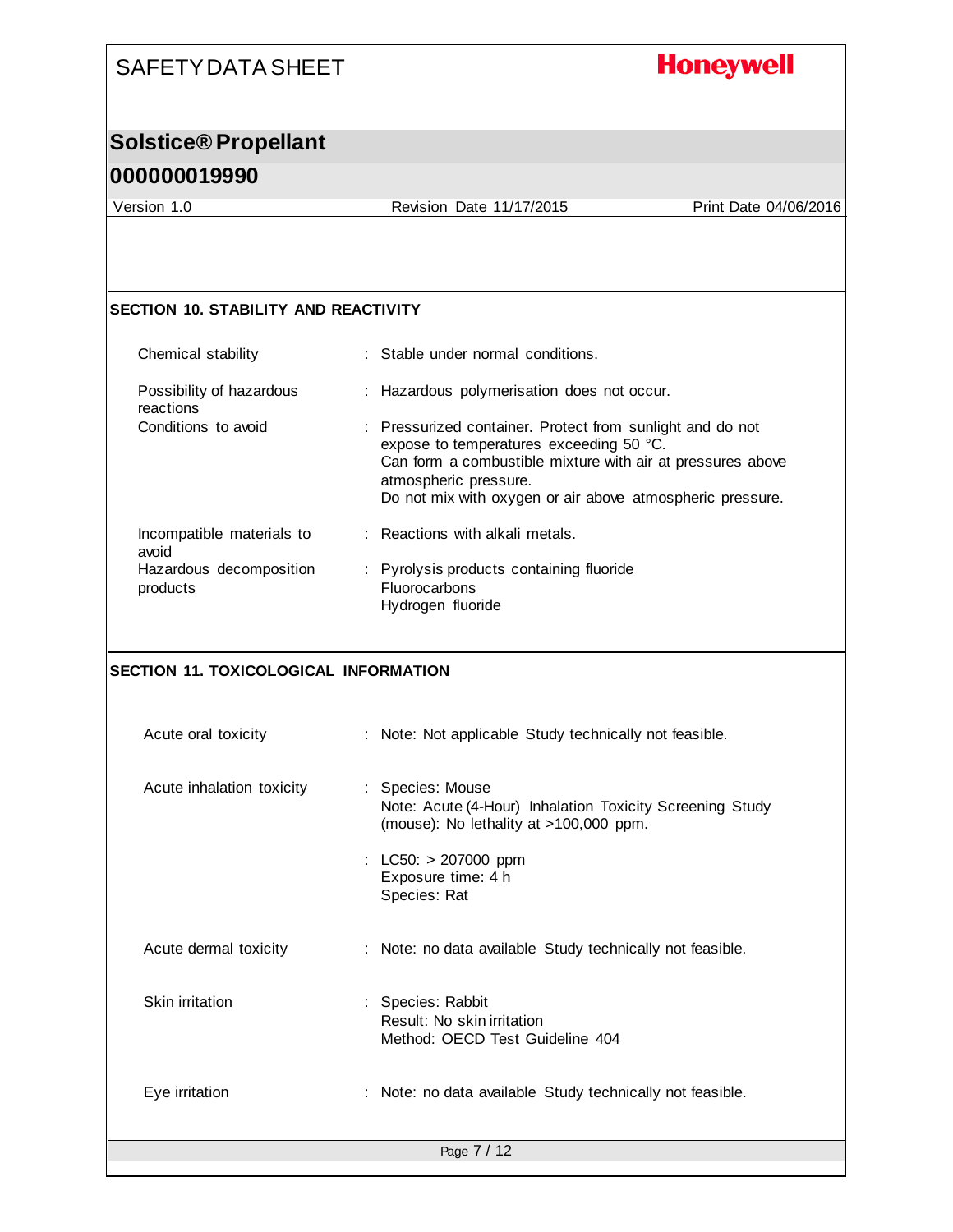# **Honeywell**

## **Solstice® Propellant**

#### **000000019990**

Version 1.0 Revision Date 11/17/2015 Print Date 04/06/2016

#### **SECTION 10. STABILITY AND REACTIVITY**

| Chemical stability                    | : Stable under normal conditions.                                                                                                                                                                                                                        |
|---------------------------------------|----------------------------------------------------------------------------------------------------------------------------------------------------------------------------------------------------------------------------------------------------------|
| Possibility of hazardous<br>reactions | : Hazardous polymerisation does not occur.                                                                                                                                                                                                               |
| Conditions to avoid                   | : Pressurized container. Protect from sunlight and do not<br>expose to temperatures exceeding 50 °C.<br>Can form a combustible mixture with air at pressures above<br>atmospheric pressure.<br>Do not mix with oxygen or air above atmospheric pressure. |
| Incompatible materials to<br>avoid    | : Reactions with alkali metals.                                                                                                                                                                                                                          |
| Hazardous decomposition<br>products   | : Pyrolysis products containing fluoride<br><b>Fluorocarbons</b><br>Hydrogen fluoride                                                                                                                                                                    |

#### **SECTION 11. TOXICOLOGICAL INFORMATION**

| Acute oral toxicity       | : Note: Not applicable Study technically not feasible.                                                                 |
|---------------------------|------------------------------------------------------------------------------------------------------------------------|
| Acute inhalation toxicity | : Species: Mouse<br>Note: Acute (4-Hour) Inhalation Toxicity Screening Study<br>(mouse): No lethality at >100,000 ppm. |
|                           | : LC50: $> 207000$ ppm<br>Exposure time: 4 h<br>Species: Rat                                                           |
| Acute dermal toxicity     | : Note: no data available Study technically not feasible.                                                              |
| Skin irritation           | : Species: Rabbit<br>Result: No skin irritation<br>Method: OECD Test Guideline 404                                     |
| Eye irritation            | : Note: no data available Study technically not feasible.                                                              |
|                           | Page 7 / 12                                                                                                            |
|                           |                                                                                                                        |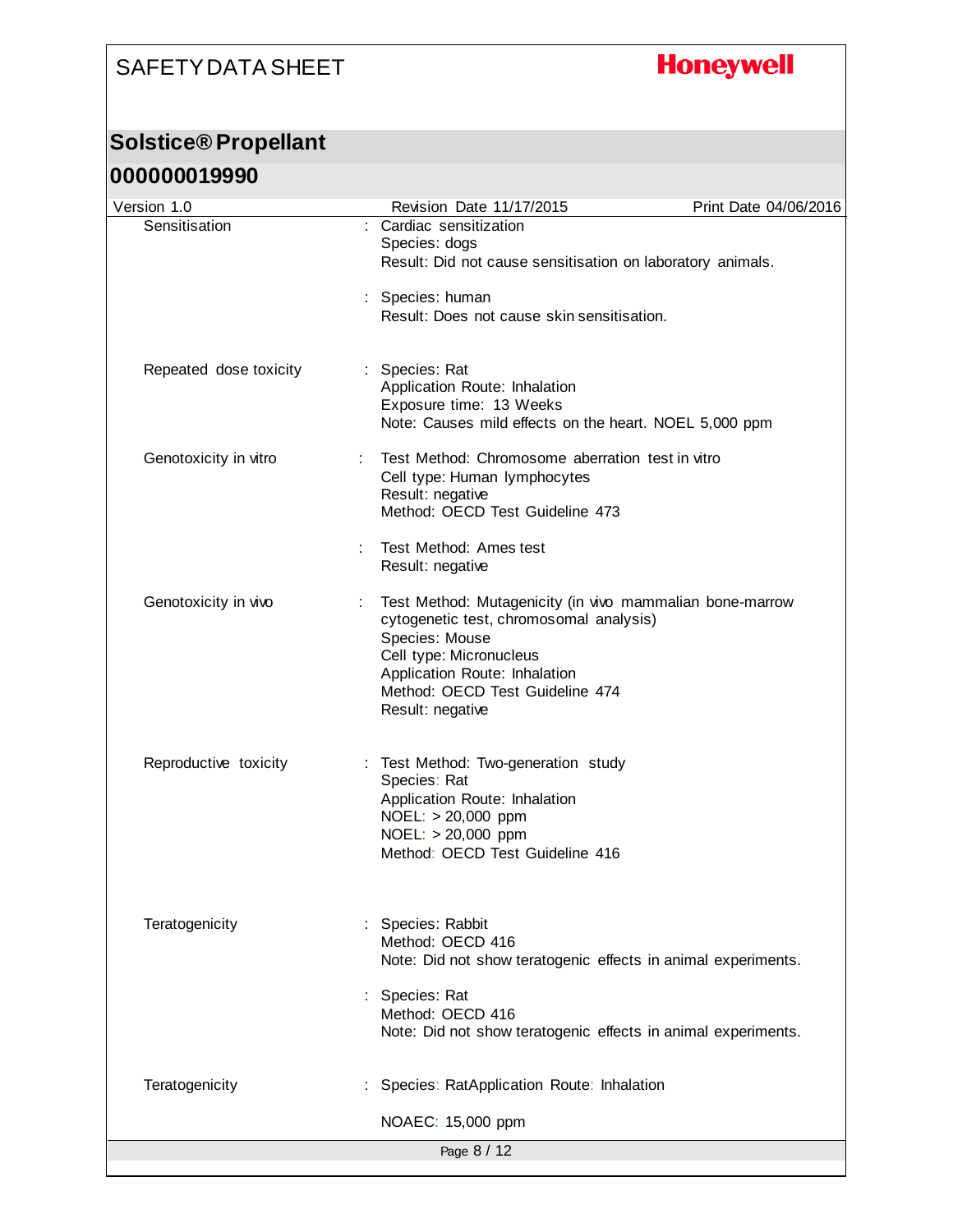# **Honeywell**

#### **Solstice® Propellant**

| Version 1.0            | Revision Date 11/17/2015                                                                                                                                                                                                                 | Print Date 04/06/2016 |
|------------------------|------------------------------------------------------------------------------------------------------------------------------------------------------------------------------------------------------------------------------------------|-----------------------|
| Sensitisation          | Cardiac sensitization<br>Species: dogs<br>Result: Did not cause sensitisation on laboratory animals.                                                                                                                                     |                       |
|                        | : Species: human<br>Result: Does not cause skin sensitisation.                                                                                                                                                                           |                       |
| Repeated dose toxicity | : Species: Rat<br>Application Route: Inhalation<br>Exposure time: 13 Weeks<br>Note: Causes mild effects on the heart. NOEL 5,000 ppm                                                                                                     |                       |
| Genotoxicity in vitro  | Test Method: Chromosome aberration test in vitro<br>Cell type: Human lymphocytes<br>Result: negative<br>Method: OECD Test Guideline 473                                                                                                  |                       |
|                        | Test Method: Ames test<br>Result: negative                                                                                                                                                                                               |                       |
| Genotoxicity in vivo   | Test Method: Mutagenicity (in vivo mammalian bone-marrow<br>cytogenetic test, chromosomal analysis)<br>Species: Mouse<br>Cell type: Micronucleus<br>Application Route: Inhalation<br>Method: OECD Test Guideline 474<br>Result: negative |                       |
| Reproductive toxicity  | : Test Method: Two-generation study<br>Species: Rat<br>Application Route: Inhalation<br>NOEL: > 20,000 ppm<br>NOEL: > 20,000 ppm<br>Method: OECD Test Guideline 416                                                                      |                       |
| Teratogenicity         | Species: Rabbit<br>Method: OECD 416<br>Note: Did not show teratogenic effects in animal experiments.                                                                                                                                     |                       |
|                        | Species: Rat<br>Method: OECD 416<br>Note: Did not show teratogenic effects in animal experiments.                                                                                                                                        |                       |
| Teratogenicity         | Species: RatApplication Route: Inhalation                                                                                                                                                                                                |                       |
|                        | NOAEC: 15,000 ppm                                                                                                                                                                                                                        |                       |
|                        | Page 8 / 12                                                                                                                                                                                                                              |                       |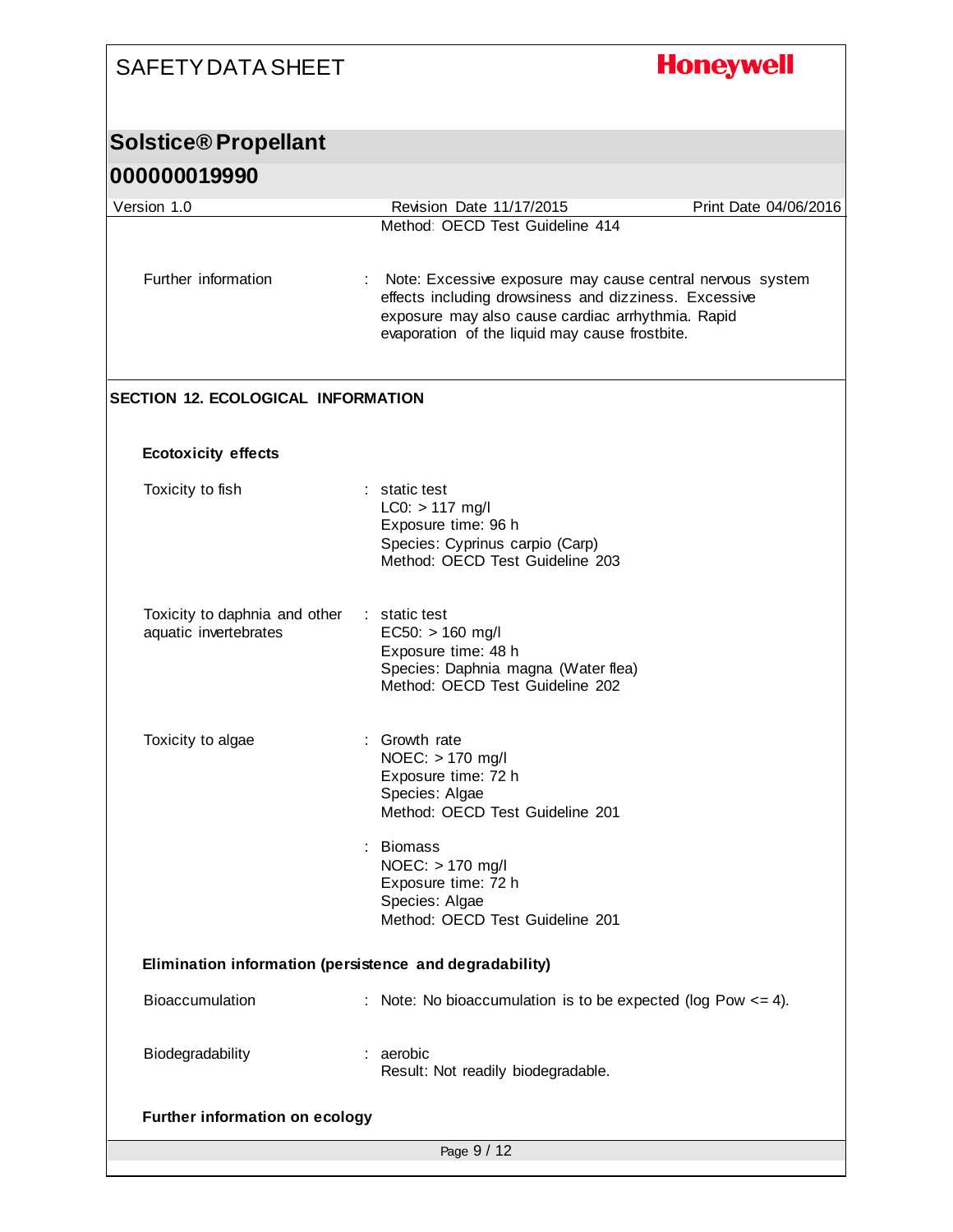| <b>SAFETY DATA SHEET</b>                                |                                                                                                                                                                                                                           | <b>Honeywell</b>      |
|---------------------------------------------------------|---------------------------------------------------------------------------------------------------------------------------------------------------------------------------------------------------------------------------|-----------------------|
| <b>Solstice® Propellant</b>                             |                                                                                                                                                                                                                           |                       |
| 000000019990                                            |                                                                                                                                                                                                                           |                       |
| Version 1.0                                             | Revision Date 11/17/2015                                                                                                                                                                                                  | Print Date 04/06/2016 |
|                                                         | Method: OECD Test Guideline 414                                                                                                                                                                                           |                       |
| Further information                                     | Note: Excessive exposure may cause central nervous system<br>effects including drowsiness and dizziness. Excessive<br>exposure may also cause cardiac arrhythmia. Rapid<br>evaporation of the liquid may cause frostbite. |                       |
| <b>SECTION 12. ECOLOGICAL INFORMATION</b>               |                                                                                                                                                                                                                           |                       |
| <b>Ecotoxicity effects</b>                              |                                                                                                                                                                                                                           |                       |
| Toxicity to fish                                        | : static test<br>$LC0: > 117$ mg/l<br>Exposure time: 96 h<br>Species: Cyprinus carpio (Carp)<br>Method: OECD Test Guideline 203                                                                                           |                       |
| Toxicity to daphnia and other<br>aquatic invertebrates  | : static test<br>$EC50: > 160$ mg/l<br>Exposure time: 48 h<br>Species: Daphnia magna (Water flea)<br>Method: OECD Test Guideline 202                                                                                      |                       |
| Toxicity to algae                                       | Growth rate<br>NOEC: > 170 mg/l<br>Exposure time: 72 h<br>Species: Algae<br>Method: OECD Test Guideline 201<br><b>Biomass</b><br>NOEC: > 170 mg/l<br>Exposure time: 72 h                                                  |                       |
|                                                         | Species: Algae<br>Method: OECD Test Guideline 201                                                                                                                                                                         |                       |
| Elimination information (persistence and degradability) |                                                                                                                                                                                                                           |                       |
| Bioaccumulation                                         | : Note: No bioaccumulation is to be expected (log Pow $\leq$ = 4).                                                                                                                                                        |                       |
| Biodegradability                                        | : aerobic<br>Result: Not readily biodegradable.                                                                                                                                                                           |                       |
| Further information on ecology                          |                                                                                                                                                                                                                           |                       |
|                                                         | Page 9 / 12                                                                                                                                                                                                               |                       |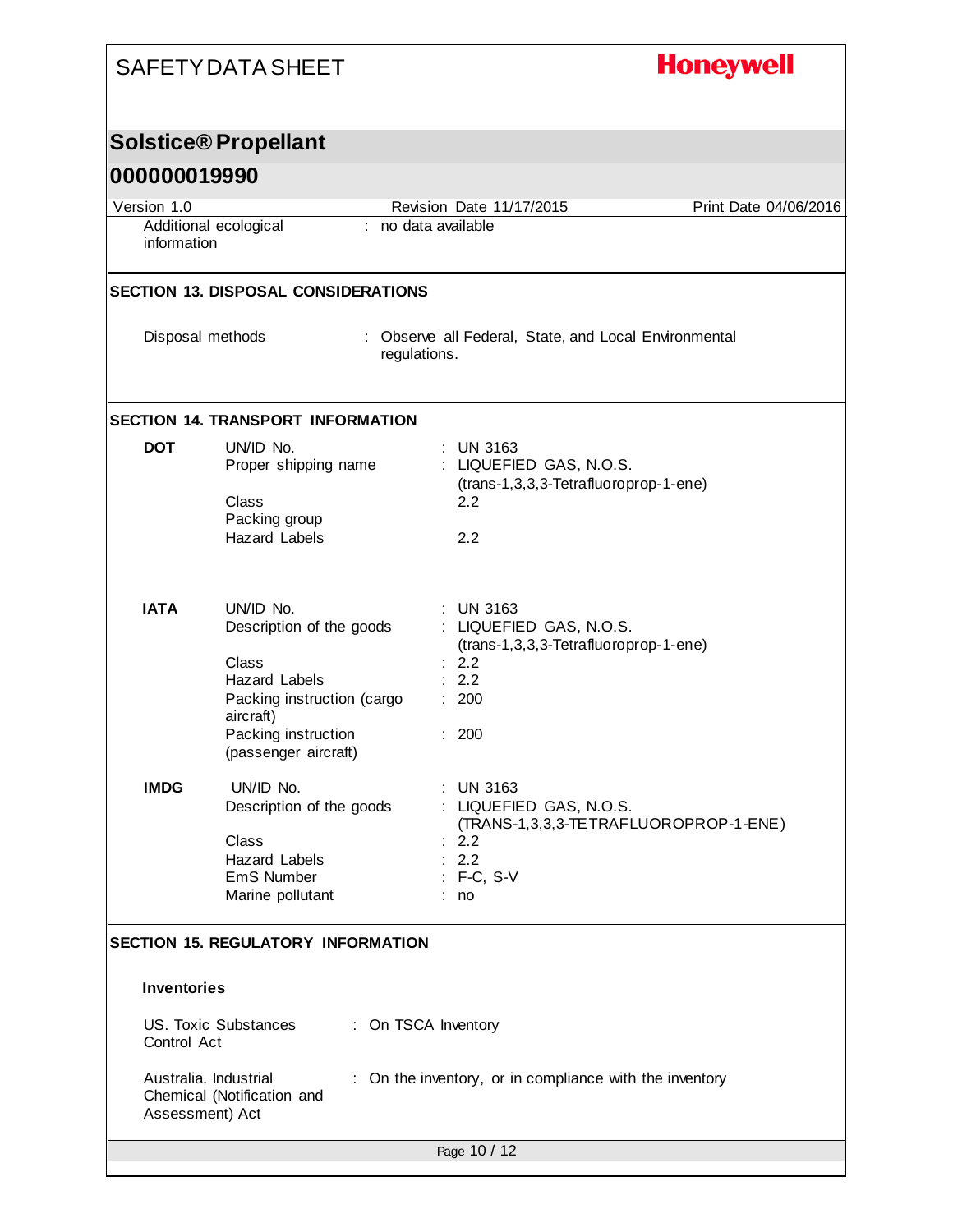# **Honeywell**

#### **Solstice® Propellant**

| 000000019990       |                                                                                                                                                                  |                                                                             |                                        |
|--------------------|------------------------------------------------------------------------------------------------------------------------------------------------------------------|-----------------------------------------------------------------------------|----------------------------------------|
| Version 1.0        |                                                                                                                                                                  | Revision Date 11/17/2015                                                    | Print Date 04/06/2016                  |
| information        | Additional ecological                                                                                                                                            | : no data available                                                         |                                        |
|                    | <b>SECTION 13. DISPOSAL CONSIDERATIONS</b>                                                                                                                       |                                                                             |                                        |
|                    | Disposal methods                                                                                                                                                 | : Observe all Federal, State, and Local Environmental<br>regulations.       |                                        |
|                    | <b>SECTION 14. TRANSPORT INFORMATION</b>                                                                                                                         |                                                                             |                                        |
| <b>DOT</b>         | UN/ID No.<br>Proper shipping name<br>Class<br>Packing group<br><b>Hazard Labels</b>                                                                              | $:$ UN 3163<br>: LIQUEFIED GAS, N.O.S.<br>2.2<br>2.2                        | (trans-1,3,3,3-Tetrafluoroprop-1-ene)  |
| <b>IATA</b>        | UN/ID No.<br>Description of the goods<br>Class<br><b>Hazard Labels</b><br>Packing instruction (cargo<br>aircraft)<br>Packing instruction<br>(passenger aircraft) | $:$ UN 3163<br>: LIQUEFIED GAS, N.O.S.<br>: 2.2<br>2.2<br>: 200<br>: 200    | (trans-1,3,3,3-Tetrafluoroprop-1-ene)  |
| <b>IMDG</b>        | UN/ID No.<br>Description of the goods<br>Class<br><b>Hazard Labels</b><br>EmS Number<br>Marine pollutant                                                         | $:$ UN 3163<br>: LIQUEFIED GAS, N.O.S.<br>: 2.2<br>: 2.2<br>F-C, S-V<br>no. | (TRANS-1,3,3,3-TE TRAFLUOROPROP-1-ENE) |
|                    | <b>SECTION 15. REGULATORY INFORMATION</b>                                                                                                                        |                                                                             |                                        |
| <b>Inventories</b> |                                                                                                                                                                  |                                                                             |                                        |
| Control Act        | <b>US. Toxic Substances</b>                                                                                                                                      | : On TSCA Inventory                                                         |                                        |
|                    | Australia, Industrial<br>Chemical (Notification and<br>Assessment) Act                                                                                           | On the inventory, or in compliance with the inventory                       |                                        |
|                    |                                                                                                                                                                  | Page 10 / 12                                                                |                                        |
|                    |                                                                                                                                                                  |                                                                             |                                        |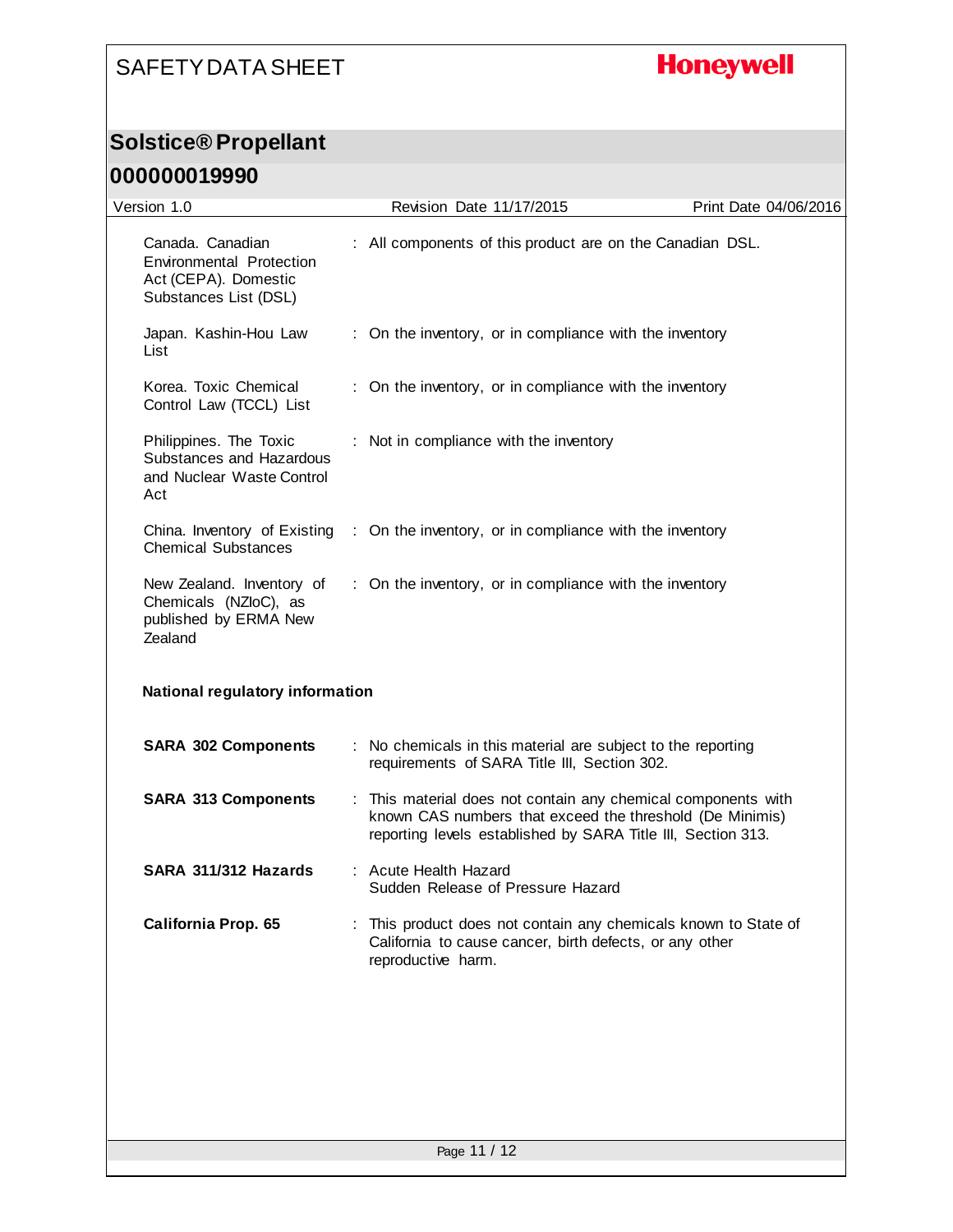# **Honeywell**

#### **Solstice® Propellant**

| Version 1.0                                                                                   | Revision Date 11/17/2015                                                                                                                                                                  | Print Date 04/06/2016 |
|-----------------------------------------------------------------------------------------------|-------------------------------------------------------------------------------------------------------------------------------------------------------------------------------------------|-----------------------|
| Canada. Canadian<br>Environmental Protection<br>Act (CEPA). Domestic<br>Substances List (DSL) | : All components of this product are on the Canadian DSL.                                                                                                                                 |                       |
| Japan. Kashin-Hou Law<br>List                                                                 | : On the inventory, or in compliance with the inventory                                                                                                                                   |                       |
| Korea. Toxic Chemical<br>Control Law (TCCL) List                                              | : On the inventory, or in compliance with the inventory                                                                                                                                   |                       |
| Philippines. The Toxic<br>Substances and Hazardous<br>and Nuclear Waste Control<br>Act        | : Not in compliance with the inventory                                                                                                                                                    |                       |
| China. Inventory of Existing<br><b>Chemical Substances</b>                                    | : On the inventory, or in compliance with the inventory                                                                                                                                   |                       |
| New Zealand. Inventory of<br>Chemicals (NZloC), as<br>published by ERMA New<br>Zealand        | : On the inventory, or in compliance with the inventory                                                                                                                                   |                       |
| <b>National regulatory information</b>                                                        |                                                                                                                                                                                           |                       |
| <b>SARA 302 Components</b>                                                                    | : No chemicals in this material are subject to the reporting<br>requirements of SARA Title III, Section 302.                                                                              |                       |
| <b>SARA 313 Components</b>                                                                    | : This material does not contain any chemical components with<br>known CAS numbers that exceed the threshold (De Minimis)<br>reporting levels established by SARA Title III, Section 313. |                       |
| SARA 311/312 Hazards                                                                          | : Acute Health Hazard<br>Sudden Release of Pressure Hazard                                                                                                                                |                       |
| California Prop. 65                                                                           | This product does not contain any chemicals known to State of<br>California to cause cancer, birth defects, or any other<br>reproductive harm.                                            |                       |
|                                                                                               |                                                                                                                                                                                           |                       |
|                                                                                               |                                                                                                                                                                                           |                       |
|                                                                                               | Page 11 / 12                                                                                                                                                                              |                       |